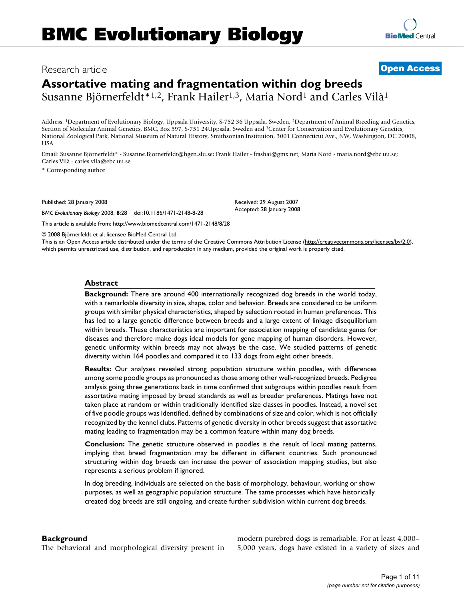**[BioMed](http://www.biomedcentral.com/)** Central

# Research article **[Open Access](http://www.biomedcentral.com/info/about/charter/) Assortative mating and fragmentation within dog breeds**

Received: 29 August 2007 Accepted: 28 January 2008

Susanne Björnerfeldt<sup>\*1,2</sup>, Frank Hailer<sup>1,3</sup>, Maria Nord<sup>1</sup> and Carles Vilà<sup>1</sup>

Address: 1Department of Evolutionary Biology, Uppsala University, S-752 36 Uppsala, Sweden, 2Department of Animal Breeding and Genetics, Section of Molecular Animal Genetics, BMC, Box 597, S-751 24Uppsala, Sweden and 3Center for Conservation and Evolutionary Genetics, National Zoological Park, National Museum of Natural History, Smithsonian Institution, 3001 Connecticut Ave., NW, Washington, DC 20008, USA

Email: Susanne Björnerfeldt\* - Susanne.Bjornerfeldt@hgen.slu.se; Frank Hailer - frashai@gmx.net; Maria Nord - maria.nord@ebc.uu.se; Carles Vilà - carles.vila@ebc.uu.se

\* Corresponding author

Published: 28 January 2008

*BMC Evolutionary Biology* 2008, **8**:28 doi:10.1186/1471-2148-8-28

[This article is available from: http://www.biomedcentral.com/1471-2148/8/28](http://www.biomedcentral.com/1471-2148/8/28)

© 2008 Björnerfeldt et al; licensee BioMed Central Ltd.

This is an Open Access article distributed under the terms of the Creative Commons Attribution License [\(http://creativecommons.org/licenses/by/2.0\)](http://creativecommons.org/licenses/by/2.0), which permits unrestricted use, distribution, and reproduction in any medium, provided the original work is properly cited.

#### **Abstract**

**Background:** There are around 400 internationally recognized dog breeds in the world today, with a remarkable diversity in size, shape, color and behavior. Breeds are considered to be uniform groups with similar physical characteristics, shaped by selection rooted in human preferences. This has led to a large genetic difference between breeds and a large extent of linkage disequilibrium within breeds. These characteristics are important for association mapping of candidate genes for diseases and therefore make dogs ideal models for gene mapping of human disorders. However, genetic uniformity within breeds may not always be the case. We studied patterns of genetic diversity within 164 poodles and compared it to 133 dogs from eight other breeds.

**Results:** Our analyses revealed strong population structure within poodles, with differences among some poodle groups as pronounced as those among other well-recognized breeds. Pedigree analysis going three generations back in time confirmed that subgroups within poodles result from assortative mating imposed by breed standards as well as breeder preferences. Matings have not taken place at random or within traditionally identified size classes in poodles. Instead, a novel set of five poodle groups was identified, defined by combinations of size and color, which is not officially recognized by the kennel clubs. Patterns of genetic diversity in other breeds suggest that assortative mating leading to fragmentation may be a common feature within many dog breeds.

**Conclusion:** The genetic structure observed in poodles is the result of local mating patterns, implying that breed fragmentation may be different in different countries. Such pronounced structuring within dog breeds can increase the power of association mapping studies, but also represents a serious problem if ignored.

In dog breeding, individuals are selected on the basis of morphology, behaviour, working or show purposes, as well as geographic population structure. The same processes which have historically created dog breeds are still ongoing, and create further subdivision within current dog breeds.

#### **Background**

The behavioral and morphological diversity present in

modern purebred dogs is remarkable. For at least 4,000– 5,000 years, dogs have existed in a variety of sizes and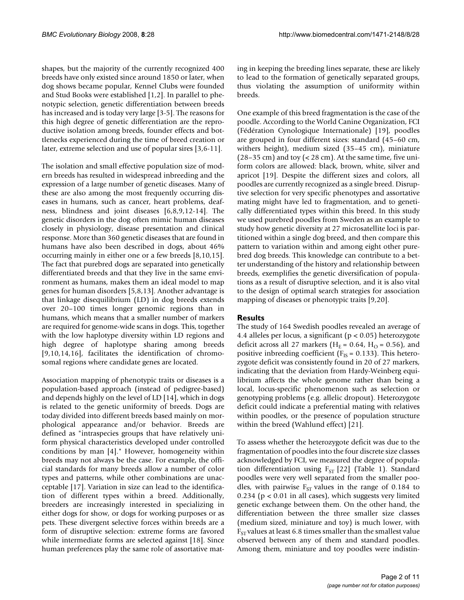shapes, but the majority of the currently recognized 400 breeds have only existed since around 1850 or later, when dog shows became popular, Kennel Clubs were founded and Stud Books were established [1,2]. In parallel to phenotypic selection, genetic differentiation between breeds has increased and is today very large [3-5]. The reasons for this high degree of genetic differentiation are the reproductive isolation among breeds, founder effects and bottlenecks experienced during the time of breed creation or later, extreme selection and use of popular sires [3,6-11].

The isolation and small effective population size of modern breeds has resulted in widespread inbreeding and the expression of a large number of genetic diseases. Many of these are also among the most frequently occurring diseases in humans, such as cancer, heart problems, deafness, blindness and joint diseases [6,8,9,12-14]. The genetic disorders in the dog often mimic human diseases closely in physiology, disease presentation and clinical response. More than 360 genetic diseases that are found in humans have also been described in dogs, about 46% occurring mainly in either one or a few breeds [8,10,15]. The fact that purebred dogs are separated into genetically differentiated breeds and that they live in the same environment as humans, makes them an ideal model to map genes for human disorders [5,8,13]. Another advantage is that linkage disequilibrium (LD) in dog breeds extends over 20–100 times longer genomic regions than in humans, which means that a smaller number of markers are required for genome-wide scans in dogs. This, together with the low haplotype diversity within LD regions and high degree of haplotype sharing among breeds [9,10,14,16], facilitates the identification of chromosomal regions where candidate genes are located.

Association mapping of phenotypic traits or diseases is a population-based approach (instead of pedigree-based) and depends highly on the level of LD [14], which in dogs is related to the genetic uniformity of breeds. Dogs are today divided into different breeds based mainly on morphological appearance and/or behavior. Breeds are defined as "intraspecies groups that have relatively uniform physical characteristics developed under controlled conditions by man [4]." However, homogeneity within breeds may not always be the case. For example, the official standards for many breeds allow a number of color types and patterns, while other combinations are unacceptable [17]. Variation in size can lead to the identification of different types within a breed. Additionally, breeders are increasingly interested in specializing in either dogs for show, or dogs for working purposes or as pets. These divergent selective forces within breeds are a form of disruptive selection: extreme forms are favored while intermediate forms are selected against [18]. Since human preferences play the same role of assortative mating in keeping the breeding lines separate, these are likely to lead to the formation of genetically separated groups, thus violating the assumption of uniformity within breeds.

One example of this breed fragmentation is the case of the poodle. According to the World Canine Organization, FCI (Fédération Cynologique Internationale) [19], poodles are grouped in four different sizes: standard (45–60 cm, withers height), medium sized (35–45 cm), miniature  $(28-35 \text{ cm})$  and toy  $( $28 \text{ cm}$ ). At the same time, five uni$ form colors are allowed: black, brown, white, silver and apricot [19]. Despite the different sizes and colors, all poodles are currently recognized as a single breed. Disruptive selection for very specific phenotypes and assortative mating might have led to fragmentation, and to genetically differentiated types within this breed. In this study we used purebred poodles from Sweden as an example to study how genetic diversity at 27 microsatellite loci is partitioned within a single dog breed, and then compare this pattern to variation within and among eight other purebred dog breeds. This knowledge can contribute to a better understanding of the history and relationship between breeds, exemplifies the genetic diversification of populations as a result of disruptive selection, and it is also vital to the design of optimal search strategies for association mapping of diseases or phenotypic traits [9,20].

## **Results**

The study of 164 Swedish poodles revealed an average of 4.4 alleles per locus, a significant (p < 0.05) heterozygote deficit across all 27 markers ( $H_E$  = 0.64,  $H_O$  = 0.56), and positive inbreeding coefficient ( $F_{IS}$  = 0.133). This heterozygote deficit was consistently found in 20 of 27 markers, indicating that the deviation from Hardy-Weinberg equilibrium affects the whole genome rather than being a local, locus-specific phenomenon such as selection or genotyping problems (e.g. allelic dropout). Heterozygote deficit could indicate a preferential mating with relatives within poodles, or the presence of population structure within the breed (Wahlund effect) [21].

To assess whether the heterozygote deficit was due to the fragmentation of poodles into the four discrete size classes acknowledged by FCI, we measured the degree of population differentiation using  $F_{ST}$  [22] (Table 1). Standard poodles were very well separated from the smaller poodles, with pairwise  $F_{ST}$  values in the range of 0.184 to 0.234 ( $p < 0.01$  in all cases), which suggests very limited genetic exchange between them. On the other hand, the differentiation between the three smaller size classes (medium sized, miniature and toy) is much lower, with  $F_{ST}$  values at least 6.8 times smaller than the smallest value observed between any of them and standard poodles. Among them, miniature and toy poodles were indistin-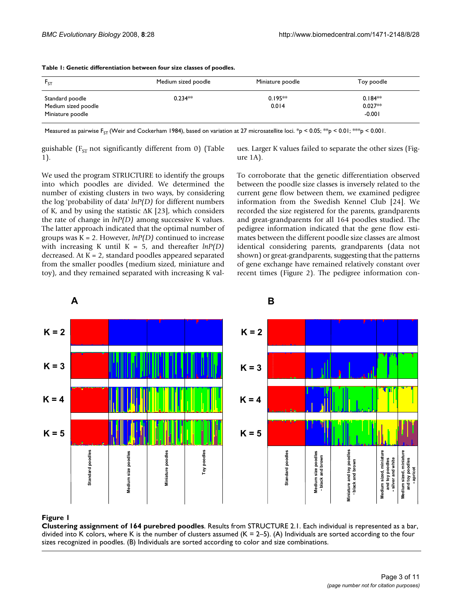| $F_{ST}$                                                   | Medium sized poodle | Miniature poodle   | Toy poodle                         |  |  |
|------------------------------------------------------------|---------------------|--------------------|------------------------------------|--|--|
| Standard poodle<br>Medium sized poodle<br>Miniature poodle | $0.234**$           | $0.195**$<br>0.014 | $0.184**$<br>$0.027**$<br>$-0.001$ |  |  |

**Table 1: Genetic differentiation between four size classes of poodles.**

Measured as pairwise F<sub>ST</sub> (Weir and Cockerham 1984), based on variation at 27 microsatellite loci. \*p < 0.05; \*\*p < 0.01; \*\*\*p < 0.001.

guishable ( $F_{ST}$  not significantly different from 0) (Table 1).

ues. Larger K values failed to separate the other sizes (Figure 1A).

We used the program STRUCTURE to identify the groups into which poodles are divided. We determined the number of existing clusters in two ways, by considering the log 'probability of data' *lnP(D)* for different numbers of K, and by using the statistic ∆K [23], which considers the rate of change in *lnP(D)* among successive K values. The latter approach indicated that the optimal number of groups was  $K = 2$ . However,  $lnP(D)$  continued to increase with increasing K until K = 5, and thereafter *lnP(D)* decreased. At  $K = 2$ , standard poodles appeared separated from the smaller poodles (medium sized, miniature and toy), and they remained separated with increasing K val-

To corroborate that the genetic differentiation observed between the poodle size classes is inversely related to the current gene flow between them, we examined pedigree information from the Swedish Kennel Club [24]. We recorded the size registered for the parents, grandparents and great-grandparents for all 164 poodles studied. The pedigree information indicated that the gene flow estimates between the different poodle size classes are almost identical considering parents, grandparents (data not shown) or great-grandparents, suggesting that the patterns of gene exchange have remained relatively constant over recent times (Figure 2). The pedigree information con-



#### Figure 1

**Clustering assignment of 164 purebred poodles**. Results from STRUCTURE 2.1. Each individual is represented as a bar, divided into K colors, where K is the number of clusters assumed (K = 2–5). (A) Individuals are sorted according to the four sizes recognized in poodles. (B) Individuals are sorted according to color and size combinations.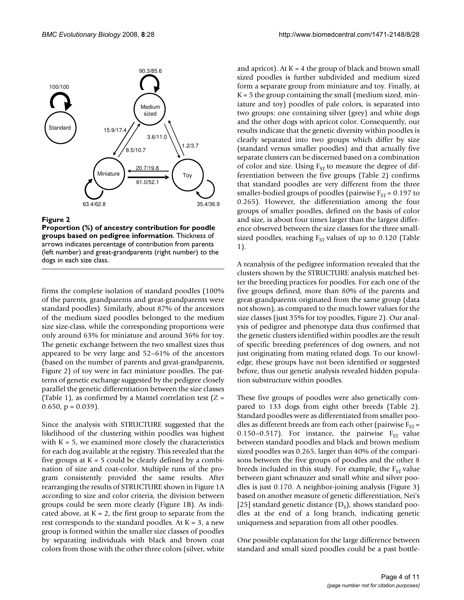

**Figure 2** 

**Proportion (%) of ancestry contribution for poodle groups based on pedigree information**. Thickness of arrows indicates percentage of contribution from parents (left number) and great-grandparents (right number) to the dogs in each size class.

firms the complete isolation of standard poodles (100% of the parents, grandparents and great-grandparents were standard poodles). Similarly, about 87% of the ancestors of the medium sized poodles belonged to the medium size size-class, while the corresponding proportions were only around 63% for miniature and around 36% for toy. The genetic exchange between the two smallest sizes thus appeared to be very large and 52–61% of the ancestors (based on the number of parents and great-grandparents, Figure 2) of toy were in fact miniature poodles. The patterns of genetic exchange suggested by the pedigree closely parallel the genetic differentiation between the size classes (Table 1), as confirmed by a Mantel correlation test  $(Z =$  $0.650$ ,  $p = 0.039$ ).

Since the analysis with STRUCTURE suggested that the likelihood of the clustering within poodles was highest with  $K = 5$ , we examined more closely the characteristics for each dog available at the registry. This revealed that the five groups at  $K = 5$  could be clearly defined by a combination of size and coat-color. Multiple runs of the program consistently provided the same results. After rearranging the results of STRUCTURE shown in Figure 1A according to size and color criteria, the division between groups could be seen more clearly (Figure 1B). As indicated above, at  $K = 2$ , the first group to separate from the rest corresponds to the standard poodles. At  $K = 3$ , a new group is formed within the smaller size classes of poodles by separating individuals with black and brown coat colors from those with the other three colors (silver, white and apricot). At  $K = 4$  the group of black and brown small sized poodles is further subdivided and medium sized form a separate group from miniature and toy. Finally, at  $K = 5$  the group containing the small (medium sized, miniature and toy) poodles of pale colors, is separated into two groups: one containing silver (grey) and white dogs and the other dogs with apricot color. Consequently, our results indicate that the genetic diversity within poodles is clearly separated into two groups which differ by size (standard versus smaller poodles) and that actually five separate clusters can be discerned based on a combination of color and size. Using  $F_{ST}$  to measure the degree of differentiation between the five groups (Table 2) confirms that standard poodles are very different from the three smaller-bodied groups of poodles (pairwise  $F_{ST} = 0.197$  to 0.265). However, the differentiation among the four groups of smaller poodles, defined on the basis of color and size, is about four times larger than the largest difference observed between the size classes for the three smallsized poodles, reaching  $F_{ST}$  values of up to 0.120 (Table 1).

A reanalysis of the pedigree information revealed that the clusters shown by the STRUCTURE analysis matched better the breeding practices for poodles. For each one of the five groups defined, more than 80% of the parents and great-grandparents originated from the same group (data not shown), as compared to the much lower values for the size classes (just 35% for toy poodles, Figure 2). Our analysis of pedigree and phenotype data thus confirmed that the genetic clusters identified within poodles are the result of specific breeding preferences of dog owners, and not just originating from mating related dogs. To our knowledge, these groups have not been identified or suggested before, thus our genetic analysis revealed hidden population substructure within poodles.

These five groups of poodles were also genetically compared to 133 dogs from eight other breeds (Table 2). Standard poodles were as differentiated from smaller poodles as different breeds are from each other (pairwise  $F_{ST}$  = 0.150–0.517). For instance, the pairwise  $F_{ST}$  value between standard poodles and black and brown medium sized poodles was 0.265, larger than 40% of the comparisons between the five groups of poodles and the other 8 breeds included in this study. For example, the  $F_{ST}$  value between giant schnauzer and small white and silver poodles is just 0.170. A neighbor-joining analysis (Figure 3) based on another measure of genetic differentiation, Nei's [25] standard genetic distance  $(D_s)$ , shows standard poodles at the end of a long branch, indicating genetic uniqueness and separation from all other poodles.

One possible explanation for the large difference between standard and small sized poodles could be a past bottle-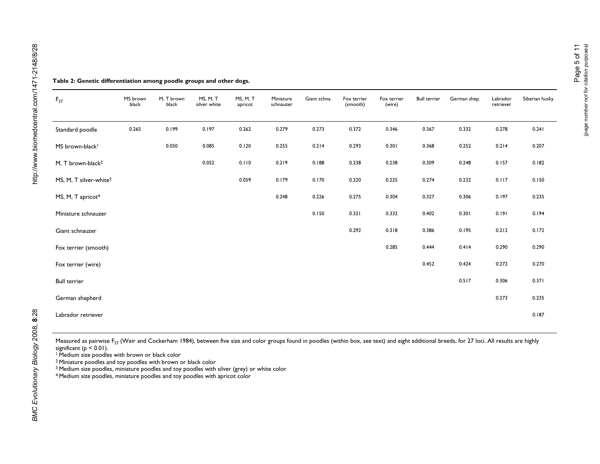| $\mathsf{F}_{\mathsf{ST}}$         | MS brown<br>black | M, T brown<br>black | MS, M, T<br>silver white | MS, M, T<br>apricot | Miniature<br>schnauzer | Giant schna. | Fox terrier<br>(smooth) | Fox terrier<br>(wire) | <b>Bull terrier</b> | German shep. | Labrador<br>retriever | Siberian husky |
|------------------------------------|-------------------|---------------------|--------------------------|---------------------|------------------------|--------------|-------------------------|-----------------------|---------------------|--------------|-----------------------|----------------|
| Standard poodle                    | 0.265             | 0.199               | 0.197                    | 0.262               | 0.279                  | 0.273        | 0.372                   | 0.346                 | 0.367               | 0.332        | 0.278                 | 0.241          |
| MS brown-black <sup>1</sup>        |                   | 0.050               | 0.085                    | 0.120               | 0.255                  | 0.214        | 0.293                   | 0.301                 | 0.368               | 0.252        | 0.214                 | 0.207          |
| M, T brown-black <sup>2</sup>      |                   |                     | 0.052                    | 0.110               | 0.219                  | 0.188        | 0.238                   | 0.238                 | 0.309               | 0.248        | 0.157                 | 0.182          |
| MS, M, T silver-white <sup>3</sup> |                   |                     |                          | 0.059               | 0.179                  | 0.170        | 0.220                   | 0.225                 | 0.274               | 0.232        | 0.117                 | 0.150          |
| MS, M, T apricot <sup>4</sup>      |                   |                     |                          |                     | 0.248                  | 0.226        | 0.275                   | 0.304                 | 0.327               | 0.306        | 0.197                 | 0.235          |
| Miniature schnauzer                |                   |                     |                          |                     |                        | 0.150        | 0.321                   | 0.332                 | 0.402               | 0.301        | 0.191                 | 0.194          |
| Giant schnauzer                    |                   |                     |                          |                     |                        |              | 0.292                   | 0.318                 | 0.386               | 0.195        | 0.212                 | 0.172          |
| Fox terrier (smooth)               |                   |                     |                          |                     |                        |              |                         | 0.285                 | 0.444               | 0.414        | 0.290                 | 0.290          |
| Fox terrier (wire)                 |                   |                     |                          |                     |                        |              |                         |                       | 0.452               | 0.424        | 0.272                 | 0.270          |
| <b>Bull terrier</b>                |                   |                     |                          |                     |                        |              |                         |                       |                     | 0.517        | 0.306                 | 0.371          |
| German shepherd                    |                   |                     |                          |                     |                        |              |                         |                       |                     |              | 0.273                 | 0.235          |
| Labrador retriever                 |                   |                     |                          |                     |                        |              |                         |                       |                     |              |                       | 0.187          |

Measured as pairwise F<sub>ST</sub> (Weir and Cockerham 1984), between five size and color groups found in poodles (within box, see text) and eight additional breeds, for 27 loci. All results are highly significant (p < 0.01).

1 Medium size poodles with brown or black color

2 Miniature poodles and toy poodles with brown or black color

 $^3$  Medium size poodles, miniature poodles and toy poodles with silver (grey) or white color

4 Medium size poodles, miniature poodles and toy poodles with apricot color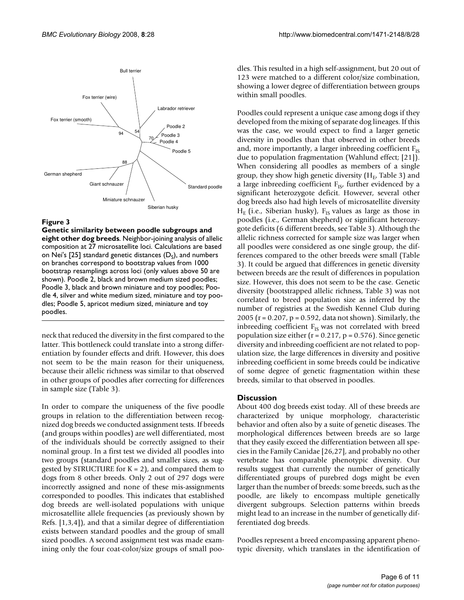

#### Figure 3

**Genetic similarity between poodle subgroups and eight other dog breeds**. Neighbor-joining analysis of allelic composition at 27 microsatellite loci. Calculations are based on Nei's [25] standard genetic distances  $(D<sub>s</sub>)$ , and numbers on branches correspond to bootstrap values from 1000 bootstrap resamplings across loci (only values above 50 are shown). Poodle 2, black and brown medium sized poodles; Poodle 3, black and brown miniature and toy poodles; Poodle 4, silver and white medium sized, miniature and toy poodles; Poodle 5, apricot medium sized, miniature and toy poodles.

neck that reduced the diversity in the first compared to the latter. This bottleneck could translate into a strong differentiation by founder effects and drift. However, this does not seem to be the main reason for their uniqueness, because their allelic richness was similar to that observed in other groups of poodles after correcting for differences in sample size (Table 3).

In order to compare the uniqueness of the five poodle groups in relation to the differentiation between recognized dog breeds we conducted assignment tests. If breeds (and groups within poodles) are well differentiated, most of the individuals should be correctly assigned to their nominal group. In a first test we divided all poodles into two groups (standard poodles and smaller sizes, as suggested by STRUCTURE for  $K = 2$ ), and compared them to dogs from 8 other breeds. Only 2 out of 297 dogs were incorrectly assigned and none of these mis-assignments corresponded to poodles. This indicates that established dog breeds are well-isolated populations with unique microsatellite allele frequencies (as previously shown by Refs. [1,3,4]), and that a similar degree of differentiation exists between standard poodles and the group of small sized poodles. A second assignment test was made examining only the four coat-color/size groups of small poodles. This resulted in a high self-assignment, but 20 out of 123 were matched to a different color/size combination, showing a lower degree of differentiation between groups within small poodles.

Poodles could represent a unique case among dogs if they developed from the mixing of separate dog lineages. If this was the case, we would expect to find a larger genetic diversity in poodles than that observed in other breeds and, more importantly, a larger inbreeding coefficient  $F_{IS}$ due to population fragmentation (Wahlund effect; [21]). When considering all poodles as members of a single group, they show high genetic diversity ( $H<sub>E</sub>$ , Table 3) and a large inbreeding coefficient  $F_{IS}$ , further evidenced by a significant heterozygote deficit. However, several other dog breeds also had high levels of microsatellite diversity  $H<sub>E</sub>$  (i.e., Siberian husky),  $F<sub>IS</sub>$  values as large as those in poodles (i.e., German shepherd) or significant heterozygote deficits (6 different breeds, see Table 3). Although the allelic richness corrected for sample size was larger when all poodles were considered as one single group, the differences compared to the other breeds were small (Table 3). It could be argued that differences in genetic diversity between breeds are the result of differences in population size. However, this does not seem to be the case. Genetic diversity (bootstrapped allelic richness, Table 3) was not correlated to breed population size as inferred by the number of registries at the Swedish Kennel Club during 2005 (r = 0.207, p = 0.592, data not shown). Similarly, the inbreeding coefficient  $F_{IS}$  was not correlated with breed population size either ( $r = 0.217$ ,  $p = 0.576$ ). Since genetic diversity and inbreeding coefficient are not related to population size, the large differences in diversity and positive inbreeding coefficient in some breeds could be indicative of some degree of genetic fragmentation within these breeds, similar to that observed in poodles.

#### **Discussion**

About 400 dog breeds exist today. All of these breeds are characterized by unique morphology, characteristic behavior and often also by a suite of genetic diseases. The morphological differences between breeds are so large that they easily exceed the differentiation between all species in the Family Canidae [26,27], and probably no other vertebrate has comparable phenotypic diversity. Our results suggest that currently the number of genetically differentiated groups of purebred dogs might be even larger than the number of breeds: some breeds, such as the poodle, are likely to encompass multiple genetically divergent subgroups. Selection patterns within breeds might lead to an increase in the number of genetically differentiated dog breeds.

Poodles represent a breed encompassing apparent phenotypic diversity, which translates in the identification of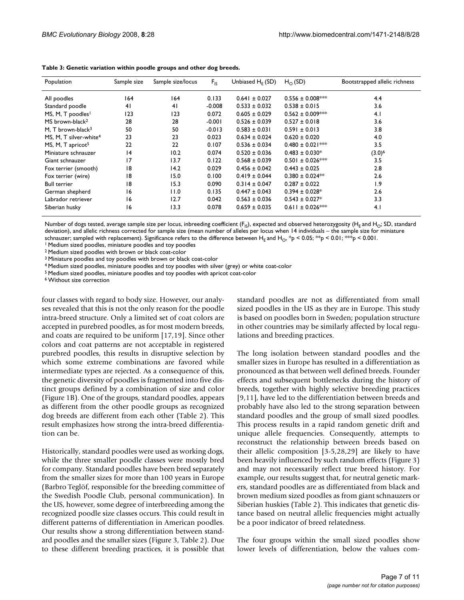| Population                         | Sample size | Sample size/locus | $F_{\text{IS}}$ | Unbiased $H_F(SD)$ | $H_{\Omega}$ (SD)     | Bootstrapped allelic richness |
|------------------------------------|-------------|-------------------|-----------------|--------------------|-----------------------|-------------------------------|
| All poodles                        | 164         | 164               | 0.133           | $0.641 \pm 0.027$  | $0.556 \pm 0.008$ *** | 4.4                           |
| Standard poodle                    | 41          | 41                | $-0.008$        | $0.533 \pm 0.032$  | $0.538 \pm 0.015$     | 3.6                           |
| MS, M, T poodles <sup>1</sup>      | 123         | 123               | 0.072           | $0.605 \pm 0.029$  | $0.562 \pm 0.009$ *** | 4.1                           |
| MS brown-black <sup>2</sup>        | 28          | 28                | $-0.001$        | $0.526 \pm 0.039$  | $0.527 \pm 0.018$     | 3.6                           |
| M, $T$ brown-black <sup>3</sup>    | 50          | 50                | $-0.013$        | $0.583 \pm 0.031$  | $0.591 \pm 0.013$     | 3.8                           |
| MS, M, T silver-white <sup>4</sup> | 23          | 23                | 0.023           | $0.634 \pm 0.024$  | $0.620 \pm 0.020$     | 4.0                           |
| MS, M, T apricot <sup>5</sup>      | 22          | 22                | 0.107           | $0.536 \pm 0.034$  | $0.480 \pm 0.021$ *** | 3.5                           |
| Miniature schnauzer                | 4           | 10.2              | 0.074           | $0.520 \pm 0.036$  | $0.483 \pm 0.030*$    | $(3.0)^6$                     |
| Giant schnauzer                    | 17          | 13.7              | 0.122           | $0.568 \pm 0.039$  | $0.501 \pm 0.026$ *** | 3.5                           |
| Fox terrier (smooth)               | 18          | 14.2              | 0.029           | $0.456 \pm 0.042$  | $0.443 \pm 0.025$     | 2.8                           |
| Fox terrier (wire)                 | 18          | 15.0              | 0.100           | $0.419 \pm 0.044$  | $0.380 \pm 0.024**$   | 2.6                           |
| <b>Bull terrier</b>                | 18          | 15.3              | 0.090           | $0.314 \pm 0.047$  | $0.287 \pm 0.022$     | 1.9                           |
| German shepherd                    | 16          | 11.0              | 0.135           | $0.447 \pm 0.043$  | $0.394 \pm 0.028$ *   | 2.6                           |
| Labrador retriever                 | 16          | 12.7              | 0.042           | $0.563 \pm 0.036$  | $0.543 \pm 0.027*$    | 3.3                           |
| Siberian husky                     | 16          | 13.3              | 0.078           | $0.659 \pm 0.035$  | $0.611 \pm 0.026$ *** | 4.1                           |

**Table 3: Genetic variation within poodle groups and other dog breeds.**

Number of dogs tested, average sample size per locus, inbreeding coefficient ( $F_{1S}$ ), expected and observed heterozygosity ( $H_E$  and  $H_O$ ; SD, standard deviation), and allelic richness corrected for sample size (mean number of alleles per locus when 14 individuals – the sample size for miniature schnauzer; sampled with replacement). Significance refers to the difference between H<sub>E</sub> and H<sub>O</sub>, \*p < 0.05; \*\*p < 0.01; \*\*\*p < 0.001.<br><sup>1</sup> Medium sized poodles, miniature poodles and toy poodles

2 Medium sized poodles with brown or black coat-color

3 Miniature poodles and toy poodles with brown or black coat-color

4 Medium sized poodles, miniature poodles and toy poodles with silver (grey) or white coat-color

5 Medium sized poodles, miniature poodles and toy poodles with apricot coat-color

6 Without size correction

four classes with regard to body size. However, our analyses revealed that this is not the only reason for the poodle intra-breed structure. Only a limited set of coat colors are accepted in purebred poodles, as for most modern breeds, and coats are required to be uniform [17,19]. Since other colors and coat patterns are not acceptable in registered purebred poodles, this results in disruptive selection by which some extreme combinations are favored while intermediate types are rejected. As a consequence of this, the genetic diversity of poodles is fragmented into five distinct groups defined by a combination of size and color (Figure 1B). One of the groups, standard poodles, appears as different from the other poodle groups as recognized dog breeds are different from each other (Table 2). This result emphasizes how strong the intra-breed differentiation can be.

Historically, standard poodles were used as working dogs, while the three smaller poodle classes were mostly bred for company. Standard poodles have been bred separately from the smaller sizes for more than 100 years in Europe (Barbro Teglöf, responsible for the breeding committee of the Swedish Poodle Club, personal communication). In the US, however, some degree of interbreeding among the recognized poodle size classes occurs. This could result in different patterns of differentiation in American poodles. Our results show a strong differentiation between standard poodles and the smaller sizes (Figure 3, Table 2). Due to these different breeding practices, it is possible that

standard poodles are not as differentiated from small sized poodles in the US as they are in Europe. This study is based on poodles born in Sweden; population structure in other countries may be similarly affected by local regulations and breeding practices.

The long isolation between standard poodles and the smaller sizes in Europe has resulted in a differentiation as pronounced as that between well defined breeds. Founder effects and subsequent bottlenecks during the history of breeds, together with highly selective breeding practices [9,11], have led to the differentiation between breeds and probably have also led to the strong separation between standard poodles and the group of small sized poodles. This process results in a rapid random genetic drift and unique allele frequencies. Consequently, attempts to reconstruct the relationship between breeds based on their allelic composition [3-5,28,29] are likely to have been heavily influenced by such random effects (Figure 3) and may not necessarily reflect true breed history. For example, our results suggest that, for neutral genetic markers, standard poodles are as differentiated from black and brown medium sized poodles as from giant schnauzers or Siberian huskies (Table 2). This indicates that genetic distance based on neutral allelic frequencies might actually be a poor indicator of breed relatedness.

The four groups within the small sized poodles show lower levels of differentiation, below the values com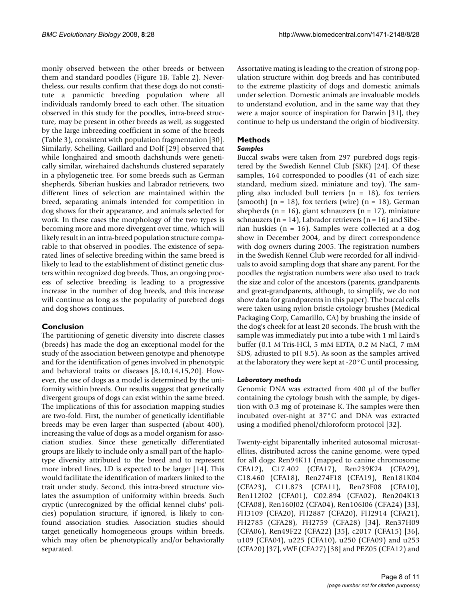monly observed between the other breeds or between them and standard poodles (Figure 1B, Table 2). Nevertheless, our results confirm that these dogs do not constitute a panmictic breeding population where all individuals randomly breed to each other. The situation observed in this study for the poodles, intra-breed structure, may be present in other breeds as well, as suggested by the large inbreeding coefficient in some of the breeds (Table 3), consistent with population fragmentation [30]. Similarly, Schelling, Gaillard and Dolf [29] observed that while longhaired and smooth dachshunds were genetically similar, wirehaired dachshunds clustered separately in a phylogenetic tree. For some breeds such as German shepherds, Siberian huskies and Labrador retrievers, two different lines of selection are maintained within the breed, separating animals intended for competition in dog shows for their appearance, and animals selected for work. In these cases the morphology of the two types is becoming more and more divergent over time, which will likely result in an intra-breed population structure comparable to that observed in poodles. The existence of separated lines of selective breeding within the same breed is likely to lead to the establishment of distinct genetic clusters within recognized dog breeds. Thus, an ongoing process of selective breeding is leading to a progressive increase in the number of dog breeds, and this increase will continue as long as the popularity of purebred dogs and dog shows continues.

## **Conclusion**

The partitioning of genetic diversity into discrete classes (breeds) has made the dog an exceptional model for the study of the association between genotype and phenotype and for the identification of genes involved in phenotypic and behavioral traits or diseases [8,10,14,15,20]. However, the use of dogs as a model is determined by the uniformity within breeds. Our results suggest that genetically divergent groups of dogs can exist within the same breed. The implications of this for association mapping studies are two-fold. First, the number of genetically identifiable breeds may be even larger than suspected (about 400), increasing the value of dogs as a model organism for association studies. Since these genetically differentiated groups are likely to include only a small part of the haplotype diversity attributed to the breed and to represent more inbred lines, LD is expected to be larger [14]. This would facilitate the identification of markers linked to the trait under study. Second, this intra-breed structure violates the assumption of uniformity within breeds. Such cryptic (unrecognized by the official kennel clubs' policies) population structure, if ignored, is likely to confound association studies. Association studies should target genetically homogeneous groups within breeds, which may often be phenotypically and/or behaviorally separated.

Assortative mating is leading to the creation of strong population structure within dog breeds and has contributed to the extreme plasticity of dogs and domestic animals under selection. Domestic animals are invaluable models to understand evolution, and in the same way that they were a major source of inspiration for Darwin [31], they continue to help us understand the origin of biodiversity.

## **Methods**

## *Samples*

Buccal swabs were taken from 297 purebred dogs registered by the Swedish Kennel Club (SKK) [24]. Of these samples, 164 corresponded to poodles (41 of each size: standard, medium sized, miniature and toy). The sampling also included bull terriers  $(n = 18)$ , fox terriers (smooth)  $(n = 18)$ , fox terriers (wire)  $(n = 18)$ , German shepherds ( $n = 16$ ), giant schnauzers ( $n = 17$ ), miniature schnauzers ( $n = 14$ ), Labrador retrievers ( $n = 16$ ) and Siberian huskies (n = 16). Samples were collected at a dog show in December 2004, and by direct correspondence with dog owners during 2005. The registration numbers in the Swedish Kennel Club were recorded for all individuals to avoid sampling dogs that share any parent. For the poodles the registration numbers were also used to track the size and color of the ancestors (parents, grandparents and great-grandparents, although, to simplify, we do not show data for grandparents in this paper). The buccal cells were taken using nylon bristle cytology brushes (Medical Packaging Corp, Camarillo, CA) by brushing the inside of the dog's cheek for at least 20 seconds. The brush with the sample was immediately put into a tube with 1 ml Laird's buffer (0.1 M Tris-HCl, 5 mM EDTA, 0.2 M NaCl, 7 mM SDS, adjusted to pH 8.5). As soon as the samples arrived at the laboratory they were kept at -20°C until processing.

## *Laboratory methods*

Genomic DNA was extracted from 400 µl of the buffer containing the cytology brush with the sample, by digestion with 0.3 mg of proteinase K. The samples were then incubated over-night at 37°C and DNA was extracted using a modified phenol/chloroform protocol [32].

Twenty-eight biparentally inherited autosomal microsatellites, distributed across the canine genome, were typed for all dogs: Ren94K11 (mapped to canine chromosome CFA12), C17.402 (CFA17), Ren239K24 (CFA29), C18.460 (CFA18), Ren274F18 (CFA19), Ren181K04 (CFA23), C11.873 (CFA11), Ren73F08 (CFA10), Ren112I02 (CFA01), C02.894 (CFA02), Ren204K13 (CFA08), Ren160J02 (CFA04), Ren106I06 (CFA24) [33], FH3109 (CFA20), FH2887 (CFA20), FH2914 (CFA21), FH2785 (CFA28), FH2759 (CFA28) [34], Ren37H09 (CFA06), Ren49F22 (CFA22) [35], c2017 (CFA15) [36], u109 (CFA04), u225 (CFA10), u250 (CFA09) and u253 (CFA20) [37], vWF (CFA27) [38] and PEZ05 (CFA12) and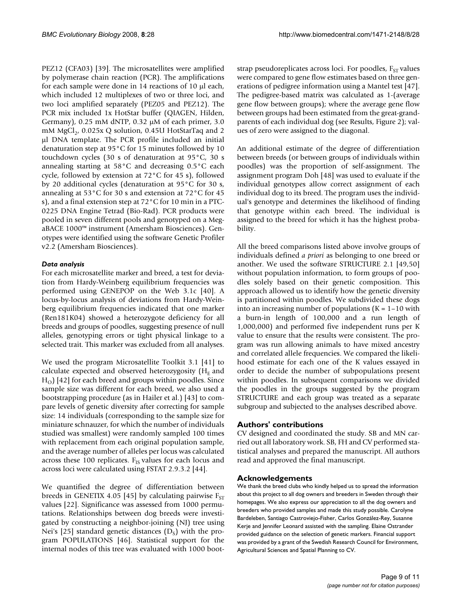PEZ12 (CFA03) [39]. The microsatellites were amplified by polymerase chain reaction (PCR). The amplifications for each sample were done in 14 reactions of 10 µl each, which included 12 multiplexes of two or three loci, and two loci amplified separately (PEZ05 and PEZ12). The PCR mix included 1x HotStar buffer (QIAGEN, Hilden, Germany), 0.25 mM dNTP, 0.32 µM of each primer, 3.0 mM MgCl<sub>2</sub>, 0.025x Q solution, 0.45U HotStarTaq and 2 µl DNA template. The PCR profile included an initial denaturation step at 95°C for 15 minutes followed by 10 touchdown cycles (30 s of denaturation at 95°C, 30 s annealing starting at 58°C and decreasing 0.5°C each cycle, followed by extension at 72°C for 45 s), followed by 20 additional cycles (denaturation at 95°C for 30 s, annealing at 53°C for 30 s and extension at 72°C for 45 s), and a final extension step at 72°C for 10 min in a PTC-0225 DNA Engine Tetrad (Bio-Rad). PCR products were pooled in seven different pools and genotyped on a MegaBACE 1000™ instrument (Amersham Biosciences). Genotypes were identified using the software Genetic Profiler v2.2 (Amersham Biosciences).

## *Data analysis*

For each microsatellite marker and breed, a test for deviation from Hardy-Weinberg equilibrium frequencies was performed using GENEPOP on the Web 3.1c [40]. A locus-by-locus analysis of deviations from Hardy-Weinberg equilibrium frequencies indicated that one marker (Ren181K04) showed a heterozygote deficiency for all breeds and groups of poodles, suggesting presence of null alleles, genotyping errors or tight physical linkage to a selected trait. This marker was excluded from all analyses.

We used the program Microsatellite Toolkit 3.1 [41] to calculate expected and observed heterozygosity ( $H<sub>E</sub>$  and  $H<sub>O</sub>$  [42] for each breed and groups within poodles. Since sample size was different for each breed, we also used a bootstrapping procedure (as in Hailer et al.) [43] to compare levels of genetic diversity after correcting for sample size: 14 individuals (corresponding to the sample size for miniature schnauzer, for which the number of individuals studied was smallest) were randomly sampled 100 times with replacement from each original population sample, and the average number of alleles per locus was calculated across these 100 replicates.  $F_{IS}$  values for each locus and across loci were calculated using FSTAT 2.9.3.2 [44].

We quantified the degree of differentiation between breeds in GENETIX 4.05 [45] by calculating pairwise  $F_{ST}$ values [22]. Significance was assessed from 1000 permutations. Relationships between dog breeds were investigated by constructing a neighbor-joining (NJ) tree using Nei's [25] standard genetic distances  $(D_s)$  with the program POPULATIONS [46]. Statistical support for the internal nodes of this tree was evaluated with 1000 bootstrap pseudoreplicates across loci. For poodles,  $F_{ST}$  values were compared to gene flow estimates based on three generations of pedigree information using a Mantel test [47]. The pedigree-based matrix was calculated as 1-(average gene flow between groups); where the average gene flow between groups had been estimated from the great-grandparents of each individual dog (see Results, Figure 2); values of zero were assigned to the diagonal.

An additional estimate of the degree of differentiation between breeds (or between groups of individuals within poodles) was the proportion of self-assignment. The assignment program Doh [48] was used to evaluate if the individual genotypes allow correct assignment of each individual dog to its breed. The program uses the individual's genotype and determines the likelihood of finding that genotype within each breed. The individual is assigned to the breed for which it has the highest probability.

All the breed comparisons listed above involve groups of individuals defined *a priori* as belonging to one breed or another. We used the software STRUCTURE 2.1 [49,50] without population information, to form groups of poodles solely based on their genetic composition. This approach allowed us to identify how the genetic diversity is partitioned within poodles. We subdivided these dogs into an increasing number of populations  $(K = 1-10$  with a burn-in length of 100,000 and a run length of 1,000,000) and performed five independent runs per K value to ensure that the results were consistent. The program was run allowing animals to have mixed ancestry and correlated allele frequencies. We compared the likelihood estimate for each one of the K values essayed in order to decide the number of subpopulations present within poodles. In subsequent comparisons we divided the poodles in the groups suggested by the program STRUCTURE and each group was treated as a separate subgroup and subjected to the analyses described above.

## **Authors' contributions**

CV designed and coordinated the study. SB and MN carried out all laboratory work. SB, FH and CV performed statistical analyses and prepared the manuscript. All authors read and approved the final manuscript.

## **Acknowledgements**

We thank the breed clubs who kindly helped us to spread the information about this project to all dog owners and breeders in Sweden through their homepages. We also express our appreciation to all the dog owners and breeders who provided samples and made this study possible. Carolyne Bardeleben, Santiago Castroviejo-Fisher, Carlos González-Rey, Susanne Kerje and Jennifer Leonard assisted with the sampling. Elaine Ostrander provided guidance on the selection of genetic markers. Financial support was provided by a grant of the Swedish Research Council for Environment, Agricultural Sciences and Spatial Planning to CV.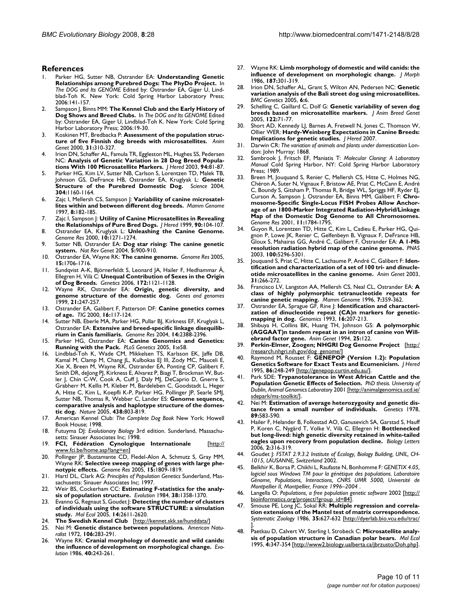#### **References**

- 1. Parker HG, Sutter NB, Ostrander EA: **Understanding Genetic Relationships among Purebred Dogs: The PhyDo Project.** In *The DOG and Its GENOME* Edited by: Ostrander EA, Giger U, Lindblad-Toh K. New York: Cold Spring Harbor Laboratory Press; 2006:141-157.
- 2. Sampson J, Binns MM: **The Kennel Club and the Early History of Dog Shows and Breed Clubs.** In *The DOG and Its GENOME* Edited by: Ostrander EA, Giger U, Lindblad-Toh K. New York: Cold Spring Harbor Laboratory Press; 2006:19-30.
- 3. Koskinen MT, Bredbacka P: **[Assessment of the population struc](http://www.ncbi.nlm.nih.gov/entrez/query.fcgi?cmd=Retrieve&db=PubMed&dopt=Abstract&list_uids=11105211)[ture of five Finnish dog breeds with microsatellites.](http://www.ncbi.nlm.nih.gov/entrez/query.fcgi?cmd=Retrieve&db=PubMed&dopt=Abstract&list_uids=11105211)** *Anim Genet* 2000, **31:**310-327.
- Irion DN, Schaffer AL, Famula TR, Eggleston ML, Hughes SS, Pedersen NC: **[Analysis of Genetic Variation in 28 Dog Breed Popula](http://www.ncbi.nlm.nih.gov/entrez/query.fcgi?cmd=Retrieve&db=PubMed&dopt=Abstract&list_uids=12692167)[tions With 100 Microsatellite Markers.](http://www.ncbi.nlm.nih.gov/entrez/query.fcgi?cmd=Retrieve&db=PubMed&dopt=Abstract&list_uids=12692167)** *J Hered* 2003, **94:**81-87.
- Parker HG, Kim LV, Sutter NB, Carlson S, Lorentzen TD, Malek TB, Johnson GS, DeFrance HB, Ostrander EA, Kruglyak L: **[Genetic](http://www.ncbi.nlm.nih.gov/entrez/query.fcgi?cmd=Retrieve&db=PubMed&dopt=Abstract&list_uids=15155949) [Structure of the Purebred Domestic Dog.](http://www.ncbi.nlm.nih.gov/entrez/query.fcgi?cmd=Retrieve&db=PubMed&dopt=Abstract&list_uids=15155949)** *Science* 2004, **304:**1160-1164.
- Zajc I, Mellersh CS, Sampson J: [Variability of canine microsatel](http://www.ncbi.nlm.nih.gov/entrez/query.fcgi?cmd=Retrieve&db=PubMed&dopt=Abstract&list_uids=9069118)**[lites within and between different dog breeds.](http://www.ncbi.nlm.nih.gov/entrez/query.fcgi?cmd=Retrieve&db=PubMed&dopt=Abstract&list_uids=9069118)** *Mamm Genome* 1997, **8:**182-185.
- 7. Zajc I, Sampson J: **[Utility of Canine Microsatellites in Revealing](http://www.ncbi.nlm.nih.gov/entrez/query.fcgi?cmd=Retrieve&db=PubMed&dopt=Abstract&list_uids=9987914) [the Relationships of Pure Bred Dogs.](http://www.ncbi.nlm.nih.gov/entrez/query.fcgi?cmd=Retrieve&db=PubMed&dopt=Abstract&list_uids=9987914)** *J Hered* 1999, **90:**104-107.
- 8. Ostrander EA, Kruglyak L: **[Unleashing the Canine Genome.](http://www.ncbi.nlm.nih.gov/entrez/query.fcgi?cmd=Retrieve&db=PubMed&dopt=Abstract&list_uids=10984444)** *Genome Res* 2000, **10:**1271-1274.
- 9. Sutter NB, Ostrander EA: **[Dog star rising: The canine genetic](http://www.ncbi.nlm.nih.gov/entrez/query.fcgi?cmd=Retrieve&db=PubMed&dopt=Abstract&list_uids=15573122) [system.](http://www.ncbi.nlm.nih.gov/entrez/query.fcgi?cmd=Retrieve&db=PubMed&dopt=Abstract&list_uids=15573122)** *Nat Rev Genet* 2004, **5:**900-910.
- 10. Ostrander EA, Wayne RK: **[The canine genome.](http://www.ncbi.nlm.nih.gov/entrez/query.fcgi?cmd=Retrieve&db=PubMed&dopt=Abstract&list_uids=16339369)** *Genome Res* 2005, **15:**1706-1716.
- 11. Sundqvist A-K, Björnerfeldt S, Leonard JA, Hailer F, Hedhammar Å, Ellegren H, Vilà C: **[Unequal Contribution of Sexes in the Origin](http://www.ncbi.nlm.nih.gov/entrez/query.fcgi?cmd=Retrieve&db=PubMed&dopt=Abstract&list_uids=16219789) [of Dog Breeds.](http://www.ncbi.nlm.nih.gov/entrez/query.fcgi?cmd=Retrieve&db=PubMed&dopt=Abstract&list_uids=16219789)** *Genetics* 2006, **172:**1121-1128.
- 12. Wayne RK, Ostrander EA: **Origin, genetic diversity, and genome structure of the domestic dog.** *Genes and genomes* 1999, **21:**247-257.
- 13. Ostrander EA, Galibert F, Patterson DF: **[Canine genetics comes](http://www.ncbi.nlm.nih.gov/entrez/query.fcgi?cmd=Retrieve&db=PubMed&dopt=Abstract&list_uids=10689352) [of age.](http://www.ncbi.nlm.nih.gov/entrez/query.fcgi?cmd=Retrieve&db=PubMed&dopt=Abstract&list_uids=10689352)** *TIG* 2000, **16:**117-124.
- 14. Sutter NB, Eberle MA, Parker HG, Pullar BJ, Kirkness EF, Kruglyak L, Ostrander EA: **[Extensive and breed-specific linkage disequilib](http://www.ncbi.nlm.nih.gov/entrez/query.fcgi?cmd=Retrieve&db=PubMed&dopt=Abstract&list_uids=15545498)[rium in Canis familiaris.](http://www.ncbi.nlm.nih.gov/entrez/query.fcgi?cmd=Retrieve&db=PubMed&dopt=Abstract&list_uids=15545498)** *Genome Res* 2004, **14:**2388-2396.
- 15. Parker HG, Ostrander EA: **[Canine Genomics and Genetics:](http://www.ncbi.nlm.nih.gov/entrez/query.fcgi?cmd=Retrieve&db=PubMed&dopt=Abstract&list_uids=16311623) [Running with the Pack.](http://www.ncbi.nlm.nih.gov/entrez/query.fcgi?cmd=Retrieve&db=PubMed&dopt=Abstract&list_uids=16311623)** *PLoS Genetics* 2005, **1:**e58.
- 16. Lindblad-Toh K, Wade CM, Mikkelsen TS, Karlsson EK, Jaffe DB, Kamal M, Clamp M, Chang JL, Kulbokas EJ III, Zody MC, Mauceli E, Xie X, Breen M, Wayne RK, Ostrander EA, Ponting CP, Galibert F, Smith DR, deJong PJ, Kirkness E, Alvarez P, Biagi T, Brockman W, Butler J, Chin C-W, Cook A, Cuff J, Daly MJ, DeCaprio D, Gnerre S, Grabherr M, Kellis M, Kleber M, Bardeleben C, Goodstadt L, Heger A, Hitte C, Kim L, Koepfli K-P, Parker HG, Pollinger JP, Searle SMJ, Sutter NB, Thomas R, Webber C, Lander ES: **[Genome sequence,](http://www.ncbi.nlm.nih.gov/entrez/query.fcgi?cmd=Retrieve&db=PubMed&dopt=Abstract&list_uids=16341006) [comparative analysis and haplotype structure of the domes](http://www.ncbi.nlm.nih.gov/entrez/query.fcgi?cmd=Retrieve&db=PubMed&dopt=Abstract&list_uids=16341006)[tic dog.](http://www.ncbi.nlm.nih.gov/entrez/query.fcgi?cmd=Retrieve&db=PubMed&dopt=Abstract&list_uids=16341006)** *Nature* 2005, **438:**803-819.
- 17. American Kennel Club: *The Complete Dog Book* New York: Howell Book House; 1998.
- 18. Futuyma DJ: *Evolutionary Biology* 3rd edition. Sunderland, Massachusetts: Sinauer Associates Inc; 1998.
- 19. **FCI, Fédération Cynologique Internationale** [[http://](http://www.fci.be/home.asp?lang=en) [www.fci.be/home.asp?lang=en\]](http://www.fci.be/home.asp?lang=en)
- 20. Pollinger JP, Bustamante CD, Fledel-Alon A, Schmutz S, Gray MM, Wayne RK: **[Selective sweep mapping of genes with large phe](http://www.ncbi.nlm.nih.gov/entrez/query.fcgi?cmd=Retrieve&db=PubMed&dopt=Abstract&list_uids=16339379)[notypic effects.](http://www.ncbi.nlm.nih.gov/entrez/query.fcgi?cmd=Retrieve&db=PubMed&dopt=Abstract&list_uids=16339379)** *Genome Res* 2005, **15:**1809-1819.
- 21. Hartl DL, Clark AG: *Principles of Population Genetics* Sunderland, Massachusetts: Sinauer Associates Inc; 1997.
- 22. Weir BS, Cockerham CC: **Estimating F-statistics for the analysis of population structure.** *Evolution* 1984, **38:**1358-1370.
- 23. Evanno G, Regnaut S, Goudet J: **[Detecting the number of clusters](http://www.ncbi.nlm.nih.gov/entrez/query.fcgi?cmd=Retrieve&db=PubMed&dopt=Abstract&list_uids=15969739) [of individuals using the software STRUCTURE: a simulation](http://www.ncbi.nlm.nih.gov/entrez/query.fcgi?cmd=Retrieve&db=PubMed&dopt=Abstract&list_uids=15969739) [study.](http://www.ncbi.nlm.nih.gov/entrez/query.fcgi?cmd=Retrieve&db=PubMed&dopt=Abstract&list_uids=15969739)** *Mol Ecol* 2005, **14:**2611-2620.
- The Swedish Kennel Club [\[http://kennet.skk.se/hunddata/](http://kennet.skk.se/hunddata/)]
- 25. Nei M: **Genetic distance between populations.** *American Naturalist* 1972, **106:**283-291.
- 26. Wayne RK: **Cranial morphology of domestic and wild canids: the influence of development on morphological change.** *Evolution* 1986, **40:**243-261.
- 27. Wayne RK: **[Limb morphology of domestic and wild canids: the](http://www.ncbi.nlm.nih.gov/entrez/query.fcgi?cmd=Retrieve&db=PubMed&dopt=Abstract&list_uids=3754586) [influence of development on morphologic change.](http://www.ncbi.nlm.nih.gov/entrez/query.fcgi?cmd=Retrieve&db=PubMed&dopt=Abstract&list_uids=3754586)** *J Morph* 1986, **187:**301-319.
- 28. Irion DN, Schaffer AL, Grant S, Wilton AN, Pedersen NC: **[Genetic](http://www.ncbi.nlm.nih.gov/entrez/query.fcgi?cmd=Retrieve&db=PubMed&dopt=Abstract&list_uids=15701179) [variation analysis of the Bali street dog using microsatellites.](http://www.ncbi.nlm.nih.gov/entrez/query.fcgi?cmd=Retrieve&db=PubMed&dopt=Abstract&list_uids=15701179)** *BMC Genetics* 2005, **6:**6.
- 29. Schelling C, Gaillard C, Dolf G: **[Genetic variability of seven dog](http://www.ncbi.nlm.nih.gov/entrez/query.fcgi?cmd=Retrieve&db=PubMed&dopt=Abstract&list_uids=16130460) [breeds based on microsatellite markers.](http://www.ncbi.nlm.nih.gov/entrez/query.fcgi?cmd=Retrieve&db=PubMed&dopt=Abstract&list_uids=16130460)** *J Anim Breed Genet* 2005, **122:**71-77.
- Short AD, Kennedy LJ, Barnes A, Fretwell N, Jones C, Thomson W, Ollier WER: **Hardy-Weinberg Expectations in Canine Breeds: Implications for genetic studies.** *J Hered* 2007.
- 31. Darwin CR: *The variation of animals and plants under domestication* London: John Murray; 1868.
- 32. Sambrook J, Fritsch EF, Maniatis T: *Molecular Cloning: A Laboratory Manual* Cold Spring Harbor, NY: Cold Spring Harbor Laboratory Press; 1989.
- Breen M, Jouquand S, Renier C, Mellersh CS, Hitte C, Holmes NG, Chéron A, Suter N, Vignaux F, Bristow AE, Priat C, McCann E, André C, Boundy S, Gitsham P, Thomas R, Bridge WL, Spriggs HF, Ryder EJ, Curson A, Sampson J, Ostrander EA, Binns MM, Galibert F: **[Chro](http://www.ncbi.nlm.nih.gov/entrez/query.fcgi?cmd=Retrieve&db=PubMed&dopt=Abstract&list_uids=11591656)mosome-Specific Single-Locus FISH Probes Allow Anchor[age of an 1800-Marker Integrated Radiation-Hybrid/Linkage](http://www.ncbi.nlm.nih.gov/entrez/query.fcgi?cmd=Retrieve&db=PubMed&dopt=Abstract&list_uids=11591656) Map of the Domestic Dog Genome to All Chromosomes.** *Genome Res* 2001, **11:**1784-1795.
- 34. Guyon R, Lorentzen TD, Hitte C, Kim L, Cadieu E, Parker HG, Quignon P, Lowe JK, Renier C, Gelfenbeyn B, Vignaux F, DeFrance HB, Gloux S, Mahairas GG, André C, Galibert F, Ostrander EA: **[A 1-Mb](http://www.ncbi.nlm.nih.gov/entrez/query.fcgi?cmd=Retrieve&db=PubMed&dopt=Abstract&list_uids=12700351) [resolution radiation hybrid map of the canine genome.](http://www.ncbi.nlm.nih.gov/entrez/query.fcgi?cmd=Retrieve&db=PubMed&dopt=Abstract&list_uids=12700351)** *PNAS* 2003, **100:**5296-5301.
- 35. Jouquand S, Priat C, Hitte C, Lachaume P, André C, Galibert F: **Identification and characterization of a set of 100 tri- and dinucleotide microsatellites in the canine genome.** *Anim Genet* 2003, **31:**266-272.
- 36. Francisco LV, Langston AA, Mellersh CS, Neal CL, Ostrander EA: **[A](http://www.ncbi.nlm.nih.gov/entrez/query.fcgi?cmd=Retrieve&db=PubMed&dopt=Abstract&list_uids=8661717) [class of highly polymorphic tetranucleotide repeats for](http://www.ncbi.nlm.nih.gov/entrez/query.fcgi?cmd=Retrieve&db=PubMed&dopt=Abstract&list_uids=8661717) [canine genetic mapping.](http://www.ncbi.nlm.nih.gov/entrez/query.fcgi?cmd=Retrieve&db=PubMed&dopt=Abstract&list_uids=8661717)** *Mamm Genome* 1996, **7:**359-362.
- 37. Ostrander EA, Sprague GF, Rine J: **[Identification and characteri](http://www.ncbi.nlm.nih.gov/entrez/query.fcgi?cmd=Retrieve&db=PubMed&dopt=Abstract&list_uids=8486359)[zation of dinucleotide repeat \(CA\)n markers for genetic](http://www.ncbi.nlm.nih.gov/entrez/query.fcgi?cmd=Retrieve&db=PubMed&dopt=Abstract&list_uids=8486359)[mapping in dog.](http://www.ncbi.nlm.nih.gov/entrez/query.fcgi?cmd=Retrieve&db=PubMed&dopt=Abstract&list_uids=8486359)** *Genomics* 1993, **16:**207-213.
- 38. Shibuya H, Collins BK, Huang TH, Johnson GS: **[A polymorphic](http://www.ncbi.nlm.nih.gov/entrez/query.fcgi?cmd=Retrieve&db=PubMed&dopt=Abstract&list_uids=8010530) [\(AGGAAT\)n tandem repeat in an intron of canine von Will](http://www.ncbi.nlm.nih.gov/entrez/query.fcgi?cmd=Retrieve&db=PubMed&dopt=Abstract&list_uids=8010530)[ebrand factor gene.](http://www.ncbi.nlm.nih.gov/entrez/query.fcgi?cmd=Retrieve&db=PubMed&dopt=Abstract&list_uids=8010530)** *Anim Genet* 1994, **25:**122.
- 39. **Perkin-Elmer, Zoogen; NHGRI Dog Genome Project** [[http:/](http://research.nhgri.nih.gov/dog_genome/) [/research.nhgri.nih.gov/dog\\_genome/](http://research.nhgri.nih.gov/dog_genome/)]
- 40. Raymond M, Rousset F: **GENEPOP (Version 1.2): Population Genetics Software for Exact Tests and Ecumenicism.** *J Hered* 1995, **86:**248-249 [\[http://genepop.curtin.edu.au/](http://genepop.curtin.edu.au/)].
- 41. Park SDE: **Trypanotolerance in West African Cattle and the Population Genetic Effects of Selection.** *PhD thesis. University of Dublin, Animal Genomics Laboratory* 2001 [[http://animalgenomics.ucd.ie/](http://animalgenomics.ucd.ie/sdepark/ms-toolkit/) [sdepark/ms-toolkit/](http://animalgenomics.ucd.ie/sdepark/ms-toolkit/)].
- 42. Nei M: **[Estimation of average heterozygosity and genetic dis](http://www.ncbi.nlm.nih.gov/entrez/query.fcgi?cmd=Retrieve&db=PubMed&dopt=Abstract&list_uids=17248844)[tance from a small number of individuals.](http://www.ncbi.nlm.nih.gov/entrez/query.fcgi?cmd=Retrieve&db=PubMed&dopt=Abstract&list_uids=17248844)** *Genetics* 1978, **89:**583-590.
- Hailer F, Helander B, Folkestad AO, Ganusevich SA, Garstad S, Hauff P, Koren C, Nygård T, Volke V, Vilà C, Ellegren H: **[Bottlenecked](http://www.ncbi.nlm.nih.gov/entrez/query.fcgi?cmd=Retrieve&db=PubMed&dopt=Abstract&list_uids=17148392) [but long-lived: high genetic diversity retained in white-tailed](http://www.ncbi.nlm.nih.gov/entrez/query.fcgi?cmd=Retrieve&db=PubMed&dopt=Abstract&list_uids=17148392) [eagles upon recovery from population decline.](http://www.ncbi.nlm.nih.gov/entrez/query.fcgi?cmd=Retrieve&db=PubMed&dopt=Abstract&list_uids=17148392)** *Biology Letters* 2006, **2:**316-319.
- 44. Goudet J: *FSTAT 2.9.3.2 Institute of Ecology, Biology Building, UNIL, CH-1015, LAUSANNE, Switzerland* 2002.
- 45. Belkhir K, Borsa P, Chikhi L, Raufaste N, Bonhomme F: *GENETIX 4.05, logiciel sous Windows TM pour la génétique des populations. Laboratoire Génome, Populations, Interactions, CNRS UMR 5000, Université de Montpellier II, Montpellier, France 1996–2004* .
- 46. Langella O: *Populations, a free population genetic software* 2002 [\[http://](http://bioinformatics.org/project/?group_id=84) [bioinformatics.org/project/?group\\_id=84\]](http://bioinformatics.org/project/?group_id=84)
- 47. Smouse PE, Long JC, Sokal RR: **Multiple regression and correlation extensions of the Mantel test of matrix correspondence.** *Systematic Zoology* 1986, **35:**627-632 [\[http://dyerlab.bio.vcu.edu/trac/](http://dyerlab.bio.vcu.edu/trac/) ].
- 48. Paetkau D, Calvert W, Sterling I, Strobeck C: **[Microsatellite analy](http://www.ncbi.nlm.nih.gov/entrez/query.fcgi?cmd=Retrieve&db=PubMed&dopt=Abstract&list_uids=7663752)[sis of population structure in Canadian polar bears.](http://www.ncbi.nlm.nih.gov/entrez/query.fcgi?cmd=Retrieve&db=PubMed&dopt=Abstract&list_uids=7663752)** *Mol Ecol* 1995, **4:**347-354 [\[http://www2.biology.ualberta.ca/jbrzusto/Doh.php\]](http://www2.biology.ualberta.ca/jbrzusto/Doh.php).